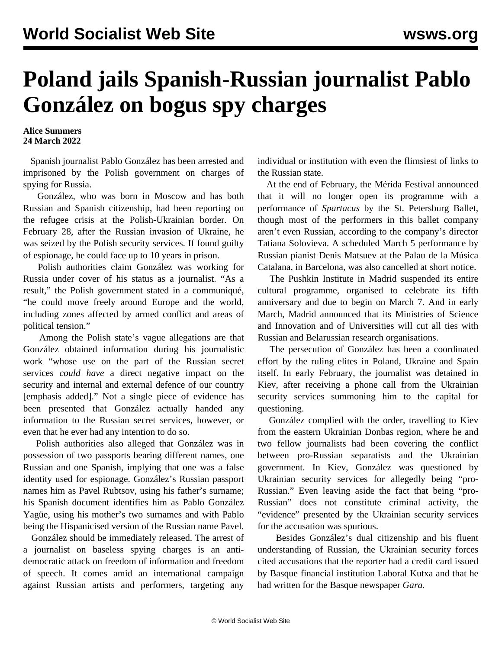## **Poland jails Spanish-Russian journalist Pablo González on bogus spy charges**

## **Alice Summers 24 March 2022**

 Spanish journalist Pablo González has been arrested and imprisoned by the Polish government on charges of spying for Russia.

 González, who was born in Moscow and has both Russian and Spanish citizenship, had been reporting on the refugee crisis at the Polish-Ukrainian border. On February 28, after the Russian invasion of Ukraine, he was seized by the Polish security services. If found guilty of espionage, he could face up to 10 years in prison.

 Polish authorities claim González was working for Russia under cover of his status as a journalist. "As a result," the Polish government stated in a communiqué, "he could move freely around Europe and the world, including zones affected by armed conflict and areas of political tension."

 Among the Polish state's vague allegations are that González obtained information during his journalistic work "whose use on the part of the Russian secret services *could have* a direct negative impact on the security and internal and external defence of our country [emphasis added]." Not a single piece of evidence has been presented that González actually handed any information to the Russian secret services, however, or even that he ever had any intention to do so.

 Polish authorities also alleged that González was in possession of two passports bearing different names, one Russian and one Spanish, implying that one was a false identity used for espionage. González's Russian passport names him as Pavel Rubtsov, using his father's surname; his Spanish document identifies him as Pablo González Yagüe, using his mother's two surnames and with Pablo being the Hispanicised version of the Russian name Pavel.

 González should be immediately released. The arrest of a journalist on baseless spying charges is an antidemocratic attack on freedom of information and freedom of speech. It comes amid an international campaign against Russian artists and performers, targeting any

individual or institution with even the flimsiest of links to the Russian state.

 At the end of February, the Mérida Festival announced that it will no longer open its programme with a performance of *Spartacus* by the St. Petersburg Ballet, though most of the performers in this ballet company aren't even Russian, according to the company's director Tatiana Solovieva. A scheduled March 5 performance by Russian pianist Denis Matsuev at the Palau de la Música Catalana, in Barcelona, was also cancelled at short notice.

 The Pushkin Institute in Madrid suspended its entire cultural programme, organised to celebrate its fifth anniversary and due to begin on March 7. And in early March, Madrid announced that its Ministries of Science and Innovation and of Universities will cut all ties with Russian and Belarussian research organisations.

 The persecution of González has been a coordinated effort by the ruling elites in Poland, Ukraine and Spain itself. In early February, the journalist was detained in Kiev, after receiving a phone call from the Ukrainian security services summoning him to the capital for questioning.

 González complied with the order, travelling to Kiev from the eastern Ukrainian Donbas region, where he and two fellow journalists had been covering the conflict between pro-Russian separatists and the Ukrainian government. In Kiev, González was questioned by Ukrainian security services for allegedly being "pro-Russian." Even leaving aside the fact that being "pro-Russian" does not constitute criminal activity, the "evidence" presented by the Ukrainian security services for the accusation was spurious.

 Besides González's dual citizenship and his fluent understanding of Russian, the Ukrainian security forces cited accusations that the reporter had a credit card issued by Basque financial institution Laboral Kutxa and that he had written for the Basque newspaper *Gara.*